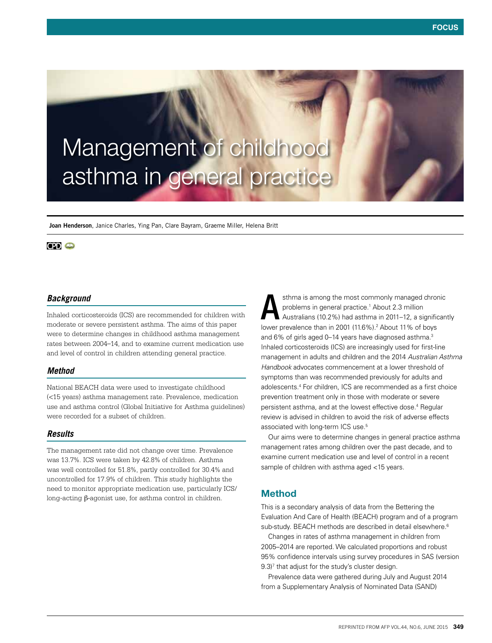# Management of childhood asthma in general practice

**Joan Henderson**, Janice Charles, Ying Pan, Clare Bayram, Graeme Miller, Helena Britt

## **CPI** O

#### *Background*

Inhaled corticosteroids (ICS) are recommended for children with moderate or severe persistent asthma. The aims of this paper were to determine changes in childhood asthma management rates between 2004–14, and to examine current medication use and level of control in children attending general practice.

#### *Method*

National BEACH data were used to investigate childhood (<15 years) asthma management rate. Prevalence, medication use and asthma control (Global Initiative for Asthma guidelines) were recorded for a subset of children.

## *Results*

The management rate did not change over time. Prevalence was 13.7%. ICS were taken by 42.8% of children. Asthma was well controlled for 51.8%, partly controlled for 30.4% and uncontrolled for 17.9% of children. This study highlights the need to monitor appropriate medication use, particularly ICS/ long-acting β-agonist use, for asthma control in children.

sthma is among the most commonly managed chronic problems in general practice.1 About 2.3 million Australians (10.2%) had asthma in 2011–12, a significantly sthma is among the most commonly managed chromoproblems in general practice.<sup>1</sup> About 2.3 million<br>Australians (10.2%) had asthma in 2011–12, a signific<br>lower prevalence than in 2001 (11.6%).<sup>2</sup> About 11% of boys and 6% of girls aged 0–14 years have diagnosed asthma.<sup>3</sup> Inhaled corticosteroids (ICS) are increasingly used for first-line management in adults and children and the 2014 *Australian Asthma Handbook* advocates commencement at a lower threshold of symptoms than was recommended previously for adults and adolescents.4 For children, ICS are recommended as a first choice prevention treatment only in those with moderate or severe persistent asthma, and at the lowest effective dose.<sup>4</sup> Regular review is advised in children to avoid the risk of adverse effects associated with long-term ICS use.<sup>5</sup>

Our aims were to determine changes in general practice asthma management rates among children over the past decade, and to examine current medication use and level of control in a recent sample of children with asthma aged <15 years.

## Method

This is a secondary analysis of data from the Bettering the Evaluation And Care of Health (BEACH) program and of a program sub-study. BEACH methods are described in detail elsewhere.<sup>6</sup>

Changes in rates of asthma management in children from 2005–2014 are reported. We calculated proportions and robust 95% confidence intervals using survey procedures in SAS (version  $9.3$ <sup> $7$ </sup> that adjust for the study's cluster design.

Prevalence data were gathered during July and August 2014 from a Supplementary Analysis of Nominated Data (SAND)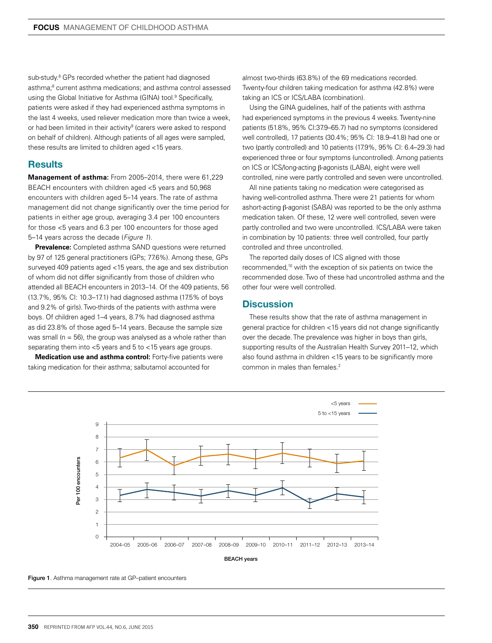sub-study.<sup>8</sup> GPs recorded whether the patient had diagnosed asthma;<sup>8</sup> current asthma medications; and asthma control assessed using the Global Initiative for Asthma (GINA) tool.<sup>9</sup> Specifically, patients were asked if they had experienced asthma symptoms in the last 4 weeks, used reliever medication more than twice a week, or had been limited in their activity<sup>9</sup> (carers were asked to respond on behalf of children). Although patients of all ages were sampled, these results are limited to children aged <15 years.

## **Results**

**Management of asthma:** From 2005–2014, there were 61,229 BEACH encounters with children aged <5 years and 50,968 encounters with children aged 5–14 years. The rate of asthma management did not change significantly over the time period for patients in either age group, averaging 3.4 per 100 encounters for those <5 years and 6.3 per 100 encounters for those aged 5–14 years across the decade (*Figure 1*).

**Prevalence:** Completed asthma SAND questions were returned by 97 of 125 general practitioners (GPs; 77.6%). Among these, GPs surveyed 409 patients aged <15 years, the age and sex distribution of whom did not differ significantly from those of children who attended all BEACH encounters in 2013–14. Of the 409 patients, 56 (13.7%, 95% CI: 10.3–17.1) had diagnosed asthma (17.5% of boys and 9.2% of girls). Two-thirds of the patients with asthma were boys. Of children aged 1–4 years, 8.7% had diagnosed asthma as did 23.8% of those aged 5–14 years. Because the sample size was small ( $n = 56$ ), the group was analysed as a whole rather than separating them into <5 years and 5 to <15 years age groups.

**Medication use and asthma control:** Forty-five patients were taking medication for their asthma; salbutamol accounted for

almost two-thirds (63.8%) of the 69 medications recorded. Twenty-four children taking medication for asthma (42.8%) were taking an ICS or ICS/LABA (combination).

Using the GINA guidelines, half of the patients with asthma had experienced symptoms in the previous 4 weeks. Twenty-nine patients (51.8%, 95% CI:37.9–65.7) had no symptoms (considered well controlled), 17 patients (30.4%; 95% CI: 18.9–41.8) had one or two (partly controlled) and 10 patients (17.9%, 95% CI: 6.4–29.3) had experienced three or four symptoms (uncontrolled). Among patients on ICS or ICS/long-acting β-agonists (LABA), eight were well controlled, nine were partly controlled and seven were uncontrolled.

All nine patients taking no medication were categorised as having well-controlled asthma. There were 21 patients for whom ashort-acting β-agonist (SABA) was reported to be the only asthma medication taken. Of these, 12 were well controlled, seven were partly controlled and two were uncontrolled. ICS/LABA were taken in combination by 10 patients: three well controlled, four partly controlled and three uncontrolled.

The reported daily doses of ICS aligned with those recommended,10 with the exception of six patients on twice the recommended dose. Two of these had uncontrolled asthma and the other four were well controlled.

### **Discussion**

These results show that the rate of asthma management in general practice for children <15 years did not change significantly over the decade. The prevalence was higher in boys than girls, supporting results of the Australian Health Survey 2011–12, which also found asthma in children <15 years to be significantly more common in males than females.<sup>2</sup>